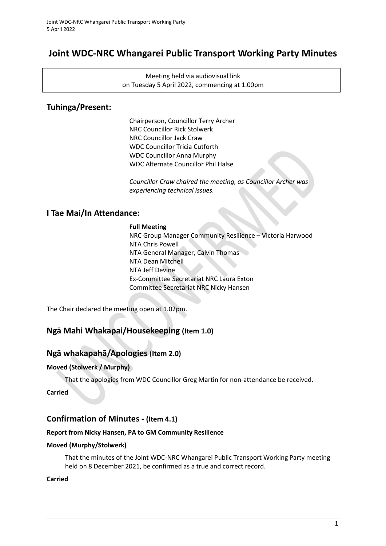# **Joint WDC-NRC Whangarei Public Transport Working Party Minutes**

Meeting held via audiovisual link on Tuesday 5 April 2022, commencing at 1.00pm

## **Tuhinga/Present:**

Chairperson, Councillor Terry Archer NRC Councillor Rick Stolwerk NRC Councillor Jack Craw WDC Councillor Tricia Cutforth WDC Councillor Anna Murphy WDC Alternate Councillor Phil Halse

*Councillor Craw chaired the meeting, as Councillor Archer was experiencing technical issues.*

## **I Tae Mai/In Attendance:**

**Full Meeting** NRC Group Manager Community Resilience – Victoria Harwood NTA Chris Powell NTA General Manager, Calvin Thomas NTA Dean Mitchell NTA Jeff Devine Ex-Committee Secretariat NRC Laura Exton Committee Secretariat NRC Nicky Hansen

The Chair declared the meeting open at 1.02pm.

## **Ngā Mahi Whakapai/Housekeeping (Item 1.0)**

### **Ngā whakapahā/Apologies (Item 2.0)**

### **Moved (Stolwerk / Murphy)**

That the apologies from WDC Councillor Greg Martin for non-attendance be received.

**Carried**

## **Confirmation of Minutes - (Item 4.1)**

### **Report from Nicky Hansen, PA to GM Community Resilience**

### **Moved (Murphy/Stolwerk)**

That the minutes of the Joint WDC-NRC Whangarei Public Transport Working Party meeting held on 8 December 2021, be confirmed as a true and correct record.

### **Carried**